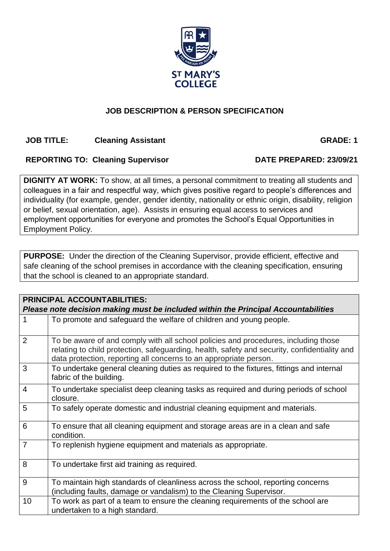# **JOB DESCRIPTION & PERSON SPECIFICATION**

## **JOB TITLE:** Cleaning Assistant **GRADE: 1**

## REPORTING TO: Cleaning Supervisor DATE PREPARED: 23/09/21

**DIGNITY AT WORK:** To show, at all times, a personal commitment to treating all students and colleagues in a fair and respectful way, which gives positive regard to people's differences and individuality (for example, gender, gender identity, nationality or ethnic origin, disability, religion or belief, sexual orientation, age). Assists in ensuring equal access to services and employment opportunities for everyone and promotes the School's Equal Opportunities in Employment Policy.

**PURPOSE:** Under the direction of the Cleaning Supervisor, provide efficient, effective and safe cleaning of the school premises in accordance with the cleaning specification, ensuring that the school is cleaned to an appropriate standard.

| <b>PRINCIPAL ACCOUNTABILITIES:</b><br>Please note decision making must be included within the Principal Accountabilities |                                                                                                                                                                                                                                                         |  |  |  |  |
|--------------------------------------------------------------------------------------------------------------------------|---------------------------------------------------------------------------------------------------------------------------------------------------------------------------------------------------------------------------------------------------------|--|--|--|--|
| $\mathbf{1}$                                                                                                             | To promote and safeguard the welfare of children and young people.                                                                                                                                                                                      |  |  |  |  |
| $\overline{2}$                                                                                                           | To be aware of and comply with all school policies and procedures, including those<br>relating to child protection, safeguarding, health, safety and security, confidentiality and<br>data protection, reporting all concerns to an appropriate person. |  |  |  |  |
| 3                                                                                                                        | To undertake general cleaning duties as required to the fixtures, fittings and internal<br>fabric of the building.                                                                                                                                      |  |  |  |  |
| $\overline{4}$                                                                                                           | To undertake specialist deep cleaning tasks as required and during periods of school<br>closure.                                                                                                                                                        |  |  |  |  |
| 5                                                                                                                        | To safely operate domestic and industrial cleaning equipment and materials.                                                                                                                                                                             |  |  |  |  |
| 6                                                                                                                        | To ensure that all cleaning equipment and storage areas are in a clean and safe<br>condition.                                                                                                                                                           |  |  |  |  |
| $\overline{7}$                                                                                                           | To replenish hygiene equipment and materials as appropriate.                                                                                                                                                                                            |  |  |  |  |
| 8                                                                                                                        | To undertake first aid training as required.                                                                                                                                                                                                            |  |  |  |  |
| 9                                                                                                                        | To maintain high standards of cleanliness across the school, reporting concerns<br>(including faults, damage or vandalism) to the Cleaning Supervisor.                                                                                                  |  |  |  |  |
| 10                                                                                                                       | To work as part of a team to ensure the cleaning requirements of the school are<br>undertaken to a high standard.                                                                                                                                       |  |  |  |  |

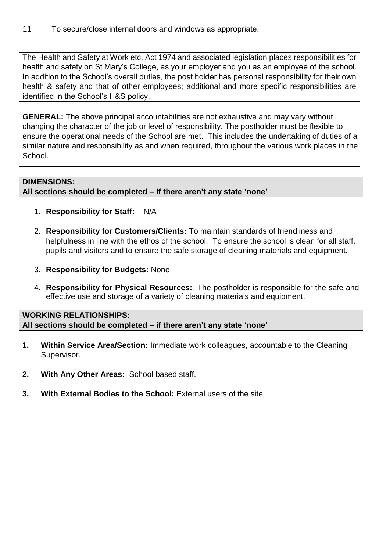| 11 | To secure/close internal doors and windows as appropriate. |
|----|------------------------------------------------------------|
|----|------------------------------------------------------------|

The Health and Safety at Work etc. Act 1974 and associated legislation places responsibilities for health and safety on St Mary's College, as your employer and you as an employee of the school. In addition to the School's overall duties, the post holder has personal responsibility for their own health & safety and that of other employees; additional and more specific responsibilities are identified in the School's H&S policy.

**GENERAL:** The above principal accountabilities are not exhaustive and may vary without changing the character of the job or level of responsibility. The postholder must be flexible to ensure the operational needs of the School are met. This includes the undertaking of duties of a similar nature and responsibility as and when required, throughout the various work places in the School.

### **DIMENSIONS:**

**All sections should be completed – if there aren't any state 'none'** 

- 1. **Responsibility for Staff:** N/A
- 2. **Responsibility for Customers/Clients:** To maintain standards of friendliness and helpfulness in line with the ethos of the school. To ensure the school is clean for all staff, pupils and visitors and to ensure the safe storage of cleaning materials and equipment.
- 3. **Responsibility for Budgets:** None
- 4. **Responsibility for Physical Resources:** The postholder is responsible for the safe and effective use and storage of a variety of cleaning materials and equipment.

## **WORKING RELATIONSHIPS: All sections should be completed – if there aren't any state 'none'**

- **1. Within Service Area/Section:** Immediate work colleagues, accountable to the Cleaning Supervisor.
- **2. With Any Other Areas:** School based staff.
- **3. With External Bodies to the School:** External users of the site.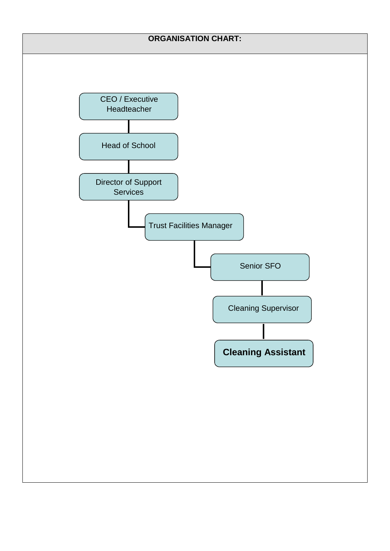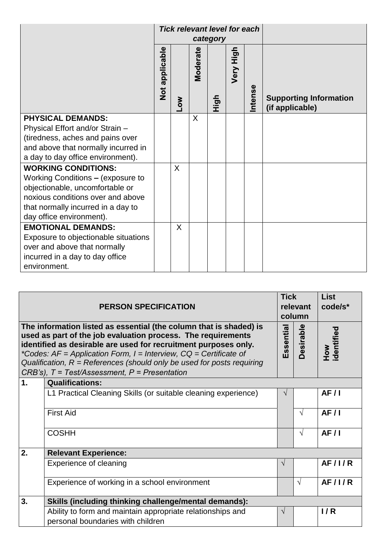|                                      | <b>Tick relevant level for each</b> |            |                 |      |           |                |                                                  |
|--------------------------------------|-------------------------------------|------------|-----------------|------|-----------|----------------|--------------------------------------------------|
|                                      | category                            |            |                 |      |           |                |                                                  |
|                                      | Not applicable                      | <b>NOT</b> | <b>Moderate</b> | High | Very High | <b>Intense</b> | <b>Supporting Information</b><br>(if applicable) |
| <b>PHYSICAL DEMANDS:</b>             |                                     |            | X               |      |           |                |                                                  |
| Physical Effort and/or Strain -      |                                     |            |                 |      |           |                |                                                  |
| (tiredness, aches and pains over     |                                     |            |                 |      |           |                |                                                  |
| and above that normally incurred in  |                                     |            |                 |      |           |                |                                                  |
| a day to day office environment).    |                                     |            |                 |      |           |                |                                                  |
| <b>WORKING CONDITIONS:</b>           |                                     | X          |                 |      |           |                |                                                  |
| Working Conditions - (exposure to    |                                     |            |                 |      |           |                |                                                  |
| objectionable, uncomfortable or      |                                     |            |                 |      |           |                |                                                  |
| noxious conditions over and above    |                                     |            |                 |      |           |                |                                                  |
| that normally incurred in a day to   |                                     |            |                 |      |           |                |                                                  |
| day office environment).             |                                     |            |                 |      |           |                |                                                  |
| <b>EMOTIONAL DEMANDS:</b>            |                                     | X          |                 |      |           |                |                                                  |
| Exposure to objectionable situations |                                     |            |                 |      |           |                |                                                  |
| over and above that normally         |                                     |            |                 |      |           |                |                                                  |
| incurred in a day to day office      |                                     |            |                 |      |           |                |                                                  |
| environment.                         |                                     |            |                 |      |           |                |                                                  |

| <b>PERSON SPECIFICATION</b> |                                                                                                                                                                                                                                                                                                                                                                                                                          |            |            | <b>List</b><br>code/s* |  |  |  |  |  |
|-----------------------------|--------------------------------------------------------------------------------------------------------------------------------------------------------------------------------------------------------------------------------------------------------------------------------------------------------------------------------------------------------------------------------------------------------------------------|------------|------------|------------------------|--|--|--|--|--|
|                             | The information listed as essential (the column that is shaded) is<br>used as part of the job evaluation process. The requirements<br>identified as desirable are used for recruitment purposes only.<br>*Codes: $AF = Application Form$ , $I = Interview$ , $CQ = Certificance$ of<br>Qualification, $R =$ References (should only be used for posts requiring<br>$CRB's$ ), $T = Test/Assessment$ , $P = Presentation$ | Essential  | Desirable  | dentified<br>How       |  |  |  |  |  |
| 1.                          | <b>Qualifications:</b>                                                                                                                                                                                                                                                                                                                                                                                                   |            |            |                        |  |  |  |  |  |
|                             | L1 Practical Cleaning Skills (or suitable cleaning experience)                                                                                                                                                                                                                                                                                                                                                           | $\sqrt{}$  |            | AF/I                   |  |  |  |  |  |
|                             | <b>First Aid</b>                                                                                                                                                                                                                                                                                                                                                                                                         |            | $\sqrt{}$  | AF/I                   |  |  |  |  |  |
|                             | <b>COSHH</b>                                                                                                                                                                                                                                                                                                                                                                                                             |            | $\sqrt{ }$ | AF/I                   |  |  |  |  |  |
| 2.                          | <b>Relevant Experience:</b>                                                                                                                                                                                                                                                                                                                                                                                              |            |            |                        |  |  |  |  |  |
|                             | Experience of cleaning                                                                                                                                                                                                                                                                                                                                                                                                   | $\sqrt{ }$ |            | AF/IR                  |  |  |  |  |  |
|                             | Experience of working in a school environment                                                                                                                                                                                                                                                                                                                                                                            |            | $\sqrt{}$  | AF/1/R                 |  |  |  |  |  |
| 3.                          | Skills (including thinking challenge/mental demands):                                                                                                                                                                                                                                                                                                                                                                    |            |            |                        |  |  |  |  |  |
|                             | Ability to form and maintain appropriate relationships and<br>personal boundaries with children                                                                                                                                                                                                                                                                                                                          | $\sqrt{ }$ |            | 1/R                    |  |  |  |  |  |